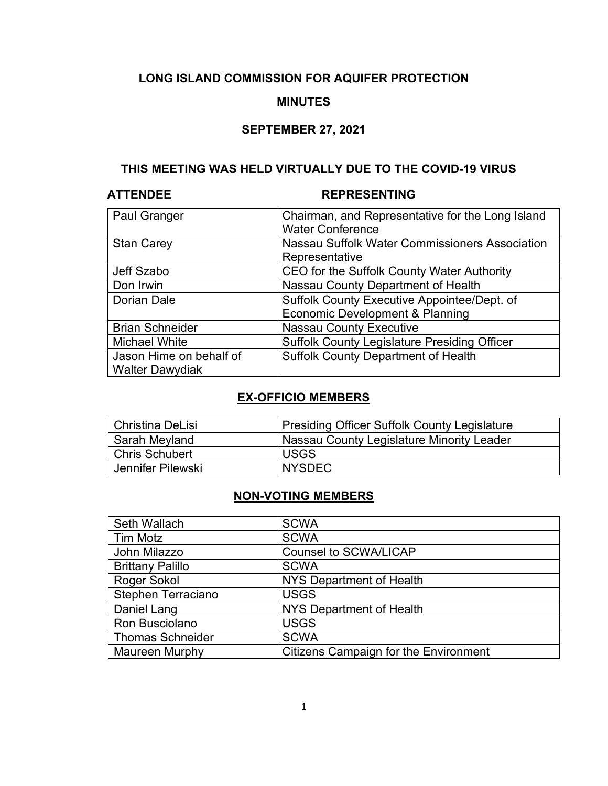# **LONG ISLAND COMMISSION FOR AQUIFER PROTECTION**

### **MINUTES**

### **SEPTEMBER 27, 2021**

### **THIS MEETING WAS HELD VIRTUALLY DUE TO THE COVID-19 VIRUS**

# **ATTENDEE REPRESENTING**

| Paul Granger            | Chairman, and Representative for the Long Island    |
|-------------------------|-----------------------------------------------------|
|                         | <b>Water Conference</b>                             |
| <b>Stan Carey</b>       | Nassau Suffolk Water Commissioners Association      |
|                         | Representative                                      |
| Jeff Szabo              | CEO for the Suffolk County Water Authority          |
| Don Irwin               | Nassau County Department of Health                  |
| <b>Dorian Dale</b>      | Suffolk County Executive Appointee/Dept. of         |
|                         | Economic Development & Planning                     |
| <b>Brian Schneider</b>  | <b>Nassau County Executive</b>                      |
| <b>Michael White</b>    | <b>Suffolk County Legislature Presiding Officer</b> |
| Jason Hime on behalf of | <b>Suffolk County Department of Health</b>          |
| <b>Walter Dawydiak</b>  |                                                     |

# **EX-OFFICIO MEMBERS**

| Christina DeLisi      | <b>Presiding Officer Suffolk County Legislature</b> |
|-----------------------|-----------------------------------------------------|
| Sarah Meyland         | Nassau County Legislature Minority Leader           |
| <b>Chris Schubert</b> | <b>USGS</b>                                         |
| Jennifer Pilewski     | <b>NYSDEC</b>                                       |

### **NON-VOTING MEMBERS**

| Seth Wallach              | <b>SCWA</b>                                  |
|---------------------------|----------------------------------------------|
| <b>Tim Motz</b>           | <b>SCWA</b>                                  |
| John Milazzo              | <b>Counsel to SCWA/LICAP</b>                 |
| <b>Brittany Palillo</b>   | <b>SCWA</b>                                  |
| <b>Roger Sokol</b>        | NYS Department of Health                     |
| <b>Stephen Terraciano</b> | <b>USGS</b>                                  |
| Daniel Lang               | NYS Department of Health                     |
| Ron Busciolano            | <b>USGS</b>                                  |
| <b>Thomas Schneider</b>   | <b>SCWA</b>                                  |
| <b>Maureen Murphy</b>     | <b>Citizens Campaign for the Environment</b> |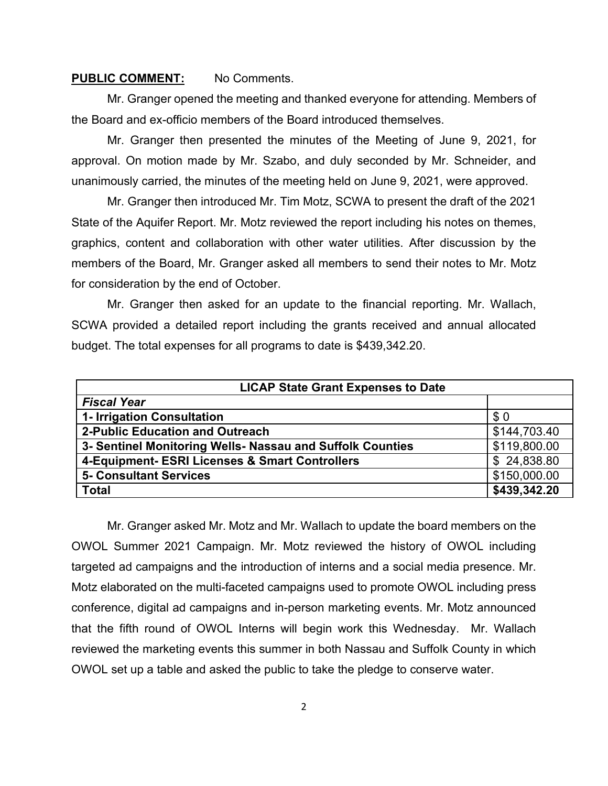### **PUBLIC COMMENT:** No Comments.

Mr. Granger opened the meeting and thanked everyone for attending. Members of the Board and ex-officio members of the Board introduced themselves.

Mr. Granger then presented the minutes of the Meeting of June 9, 2021, for approval. On motion made by Mr. Szabo, and duly seconded by Mr. Schneider, and unanimously carried, the minutes of the meeting held on June 9, 2021, were approved.

Mr. Granger then introduced Mr. Tim Motz, SCWA to present the draft of the 2021 State of the Aquifer Report. Mr. Motz reviewed the report including his notes on themes, graphics, content and collaboration with other water utilities. After discussion by the members of the Board, Mr. Granger asked all members to send their notes to Mr. Motz for consideration by the end of October.

Mr. Granger then asked for an update to the financial reporting. Mr. Wallach, SCWA provided a detailed report including the grants received and annual allocated budget. The total expenses for all programs to date is \$439,342.20.

| <b>LICAP State Grant Expenses to Date</b>                 |              |  |
|-----------------------------------------------------------|--------------|--|
| <b>Fiscal Year</b>                                        |              |  |
| 1- Irrigation Consultation                                | \$0          |  |
| 2-Public Education and Outreach                           | \$144,703.40 |  |
| 3- Sentinel Monitoring Wells- Nassau and Suffolk Counties | \$119,800.00 |  |
| 4-Equipment- ESRI Licenses & Smart Controllers            | \$24,838.80  |  |
| <b>5- Consultant Services</b>                             | \$150,000.00 |  |
| <b>Total</b>                                              | \$439,342.20 |  |

Mr. Granger asked Mr. Motz and Mr. Wallach to update the board members on the OWOL Summer 2021 Campaign. Mr. Motz reviewed the history of OWOL including targeted ad campaigns and the introduction of interns and a social media presence. Mr. Motz elaborated on the multi-faceted campaigns used to promote OWOL including press conference, digital ad campaigns and in-person marketing events. Mr. Motz announced that the fifth round of OWOL Interns will begin work this Wednesday. Mr. Wallach reviewed the marketing events this summer in both Nassau and Suffolk County in which OWOL set up a table and asked the public to take the pledge to conserve water.